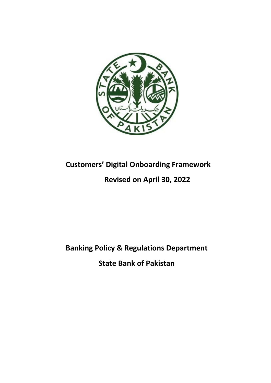

# **Customers' Digital Onboarding Framework Revised on April 30, 2022**

# **Banking Policy & Regulations Department**

**State Bank of Pakistan**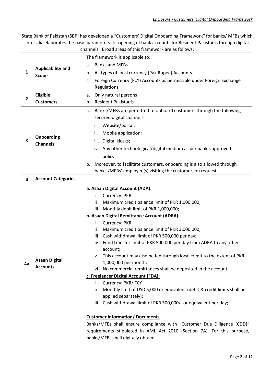State Bank of Pakistan (SBP) has developed a "Customers' Digital Onboarding Framework" for banks/ MFBs which inter alia elaborates the basic parameters for opening of bank accounts for Resident Pakistanis through digital channels. Broad areas of this framework are as follows:

|              | Applicability and         | The framework is applicable to:                                                    |  |  |
|--------------|---------------------------|------------------------------------------------------------------------------------|--|--|
| 1            |                           | <b>Banks and MFBs</b><br>a.                                                        |  |  |
|              |                           | All types of local currency (Pak Rupee) Accounts<br>b.                             |  |  |
|              | <b>Scope</b>              | Foreign Currency (FCY) Accounts as permissible under Foreign Exchange<br>c.        |  |  |
|              |                           | Regulations                                                                        |  |  |
|              | <b>Eligible</b>           | Only natural persons<br>а.                                                         |  |  |
| $\mathbf{2}$ | <b>Customers</b>          | <b>Resident Pakistanis</b><br>b.                                                   |  |  |
|              |                           | Banks/MFBs are permitted to onboard customers through the following<br>а.          |  |  |
|              |                           | secured digital channels:                                                          |  |  |
|              |                           | Website/portal;<br>i.                                                              |  |  |
|              |                           | Mobile application;<br>ii.                                                         |  |  |
| 3            | Onboarding                | iii. Digital kiosks;                                                               |  |  |
|              | <b>Channels</b>           | iv. Any other technological/digital medium as per bank's approved                  |  |  |
|              |                           | policy.                                                                            |  |  |
|              |                           | Moreover, to facilitate customers, onboarding is also allowed through<br>b.        |  |  |
|              |                           | banks'/MFBs' employee(s) visiting the customer, on request.                        |  |  |
| 4            | <b>Account Categories</b> |                                                                                    |  |  |
|              |                           | a. Asaan Digital Account (ADA):                                                    |  |  |
|              |                           | Currency: PKR<br>Ť                                                                 |  |  |
|              |                           | Maximum credit balance limit of PKR 1,000,000;<br>ii.                              |  |  |
|              |                           | Monthly debit limit of PKR 1,000,000;<br>iii                                       |  |  |
|              |                           | b. Asaan Digital Remittance Account (ADRA):                                        |  |  |
|              |                           | Currency: PKR<br>i.                                                                |  |  |
|              |                           | Maximum credit balance limit of PKR 3,000,000;<br>ii.                              |  |  |
|              |                           | Cash withdrawal limit of PKR 500,000 per day;<br>iii                               |  |  |
|              |                           | Fund transfer limit of PKR 500,000 per day from ADRA to any other<br>iv            |  |  |
|              |                           | account;<br>This account may also be fed through local credit to the extent of PKR |  |  |
|              | <b>Asaan Digital</b>      | v<br>1,000,000 per month;                                                          |  |  |
| 4a           | <b>Accounts</b>           | No commercial remittances shall be deposited in the account;<br>Vİ                 |  |  |
|              |                           | c. Freelancer Digital Account (FDA):                                               |  |  |
|              |                           | Currency: PKR/FCY<br>Ť                                                             |  |  |
|              |                           | Monthly limit of USD 5,000 or equivalent (debit & credit limits shall be<br>Ϊİ     |  |  |
|              |                           | applied separately);                                                               |  |  |
|              |                           | iii Cash withdrawal limit of PKR 500,000/- or equivalent per day;                  |  |  |
|              |                           | <b>Customer Information/ Documents</b>                                             |  |  |
|              |                           | Banks/MFBs shall ensure compliance with "Customer Due Diligence (CDD)"             |  |  |
|              |                           | requirements stipulated in AML Act 2010 (Section 7A). For this purpose,            |  |  |
|              |                           | banks/MFBs shall digitally obtain:                                                 |  |  |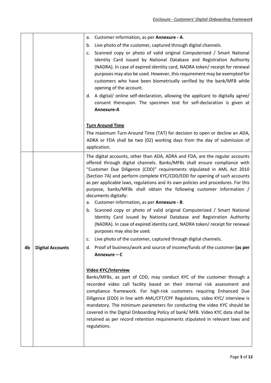|    |                         | a. Customer information, as per Annexure - A.                                                                                                                                                                                                                                                                                                                                                                                                                                                                                                                                                                                                                                                                                                                                                                                                                                                                                                                                                        |  |  |
|----|-------------------------|------------------------------------------------------------------------------------------------------------------------------------------------------------------------------------------------------------------------------------------------------------------------------------------------------------------------------------------------------------------------------------------------------------------------------------------------------------------------------------------------------------------------------------------------------------------------------------------------------------------------------------------------------------------------------------------------------------------------------------------------------------------------------------------------------------------------------------------------------------------------------------------------------------------------------------------------------------------------------------------------------|--|--|
|    |                         | Live photo of the customer, captured through digital channels.<br>b.                                                                                                                                                                                                                                                                                                                                                                                                                                                                                                                                                                                                                                                                                                                                                                                                                                                                                                                                 |  |  |
|    |                         | Scanned copy or photo of valid original Computerized / Smart National<br>$\mathsf{c}$ .<br>Identity Card issued by National Database and Registration Authority<br>(NADRA). In case of expired identity card, NADRA token/receipt for renewal<br>purposes may also be used. However, this requirement may be exempted for<br>customers who have been biometrically verified by the bank/MFB while<br>opening of the account.<br>d. A digital/ online self-declaration, allowing the applicant to digitally agree/<br>consent thereupon. The specimen text for self-declaration is given at<br>Annexure-A                                                                                                                                                                                                                                                                                                                                                                                             |  |  |
|    |                         | <b>Turn Around Time</b>                                                                                                                                                                                                                                                                                                                                                                                                                                                                                                                                                                                                                                                                                                                                                                                                                                                                                                                                                                              |  |  |
|    |                         | The maximum Turn-Around Time (TAT) for decision to open or decline an ADA,<br>ADRA or FDA shall be two (02) working days from the day of submission of<br>application.                                                                                                                                                                                                                                                                                                                                                                                                                                                                                                                                                                                                                                                                                                                                                                                                                               |  |  |
| 4b | <b>Digital Accounts</b> | The digital accounts, other than ADA, ADRA and FDA, are the regular accounts<br>offered through digital channels. Banks/MFBs shall ensure compliance with<br>"Customer Due Diligence (CDD)" requirements stipulated in AML Act 2010<br>(Section 7A) and perform complete KYC/CDD/EDD for opening of such accounts<br>as per applicable laws, regulations and its own policies and procedures. For this<br>purpose, banks/MFBs shall obtain the following customer information /<br>documents digitally:<br>a. Customer information, as per Annexure - B.<br>b. Scanned copy or photo of valid original Computerized / Smart National<br>Identity Card issued by National Database and Registration Authority<br>(NADRA). In case of expired identity card, NADRA token/ receipt for renewal<br>purposes may also be used.<br>Live photo of the customer, captured through digital channels.<br>c.<br>Proof of business/work and source of income/funds of the customer (as per<br>d.<br>Annexure - C |  |  |
|    |                         | <b>Video KYC/Interview</b><br>Banks/MFBs, as part of CDD, may conduct KYC of the customer through a<br>recorded video call facility based on their internal risk assessment and<br>compliance framework. For high-risk customers requiring Enhanced Due<br>Diligence (EDD) in line with AML/CFT/CPF Regulations, video KYC/ interview is<br>mandatory. The minimum parameters for conducting the video KYC should be<br>covered in the Digital Onboarding Policy of bank/ MFB. Video KYC data shall be<br>retained as per record retention requirements stipulated in relevant laws and<br>regulations.                                                                                                                                                                                                                                                                                                                                                                                              |  |  |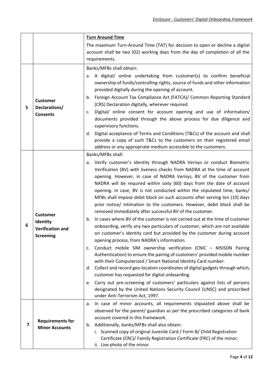|   |                                                                            | <b>Turn Around Time</b>                                                                                                                                                                                                                                                                                                                                                                                                                                                                                                                                                                                                                                                                                                                                                                                                                                                                                                                                                                                                                                                                                                                                                                                                                                                                                                                                                                                                                                                    |  |  |
|---|----------------------------------------------------------------------------|----------------------------------------------------------------------------------------------------------------------------------------------------------------------------------------------------------------------------------------------------------------------------------------------------------------------------------------------------------------------------------------------------------------------------------------------------------------------------------------------------------------------------------------------------------------------------------------------------------------------------------------------------------------------------------------------------------------------------------------------------------------------------------------------------------------------------------------------------------------------------------------------------------------------------------------------------------------------------------------------------------------------------------------------------------------------------------------------------------------------------------------------------------------------------------------------------------------------------------------------------------------------------------------------------------------------------------------------------------------------------------------------------------------------------------------------------------------------------|--|--|
|   |                                                                            | The maximum Turn-Around Time (TAT) for decision to open or decline a digital                                                                                                                                                                                                                                                                                                                                                                                                                                                                                                                                                                                                                                                                                                                                                                                                                                                                                                                                                                                                                                                                                                                                                                                                                                                                                                                                                                                               |  |  |
|   |                                                                            | account shall be two (02) working days from the day of completion of all the                                                                                                                                                                                                                                                                                                                                                                                                                                                                                                                                                                                                                                                                                                                                                                                                                                                                                                                                                                                                                                                                                                                                                                                                                                                                                                                                                                                               |  |  |
|   |                                                                            | requirements.                                                                                                                                                                                                                                                                                                                                                                                                                                                                                                                                                                                                                                                                                                                                                                                                                                                                                                                                                                                                                                                                                                                                                                                                                                                                                                                                                                                                                                                              |  |  |
|   |                                                                            | Banks/MFBs shall obtain:                                                                                                                                                                                                                                                                                                                                                                                                                                                                                                                                                                                                                                                                                                                                                                                                                                                                                                                                                                                                                                                                                                                                                                                                                                                                                                                                                                                                                                                   |  |  |
| 5 | <b>Customer</b><br>Declarations/<br><b>Consents</b>                        | A digital/ online undertaking from customer(s) to confirm beneficial<br>а.<br>ownership of funds/controlling rights, source of funds and other information<br>provided digitally during the opening of account.<br>Foreign Account Tax Compliance Act (FATCA)/ Common Reporting Standard<br>b.<br>(CRS) Declaration digitally, wherever required.<br>Digital/ online consent for account opening and use of information/<br>c.<br>documents provided through the above process for due diligence and<br>supervisory functions.<br>Digital acceptance of Terms and Conditions (T&Cs) of the account and shall<br>d.<br>provide a copy of such T&Cs to the customers on their registered email<br>address or any appropriate medium accessible to the customers.                                                                                                                                                                                                                                                                                                                                                                                                                                                                                                                                                                                                                                                                                                             |  |  |
|   |                                                                            | Banks/MFBs shall:                                                                                                                                                                                                                                                                                                                                                                                                                                                                                                                                                                                                                                                                                                                                                                                                                                                                                                                                                                                                                                                                                                                                                                                                                                                                                                                                                                                                                                                          |  |  |
| 6 | <b>Customer</b><br>Identity<br><b>Verification and</b><br><b>Screening</b> | a. Verify customer's identity through NADRA Verisys or conduct Biometric<br>Verification (BV) with liveness checks from NADRA at the time of account<br>opening. However, in case of NADRA Verisys, BV of the customer from<br>NADRA will be required within sixty (60) days from the date of account<br>opening. In case, BV is not conducted within the stipulated time, banks/<br>MFBs shall impose debit block on such accounts after serving ten (10) days<br>prior notice/ intimation to the customers. However, debit block shall be<br>removed immediately after successful BV of the customer.<br>In cases where BV of the customer is not carried out at the time of customer<br>b.<br>onboarding, verify any two particulars of customer, which are not available<br>on customer's identity card but provided by the customer during account<br>opening process, from NADRA's information.<br>Conduct mobile SIM ownership verification (CNIC - MSISDN Pairing<br>c.<br>Authentication) to ensure the pairing of customers' provided mobile number<br>with their Computerized / Smart National Identity Card number.<br>Collect and record geo-location coordinates of digital gadgets through which,<br>d.<br>customer has requested for digital onboarding.<br>Carry out pre-screening of customers' particulars against lists of persons<br>e.<br>designated by the United Nations Security Council (UNSC) and proscribed<br>under Anti-Terrorism Act, 1997. |  |  |
| 7 | <b>Requirements for</b><br><b>Minor Accounts</b>                           | In case of minor accounts, all requirements stipulated above shall be<br>а.<br>observed for the parent/ guardian as per the prescribed categories of bank<br>account covered in this framework.<br>Additionally, banks/MFBs shall also obtain:<br>b.<br>i. Scanned copy of original Juvenile Card / Form-B/ Child Registration<br>Certificate (CRC)/ Family Registration Certificate (FRC) of the minor;<br>ii. Live photo of the minor.                                                                                                                                                                                                                                                                                                                                                                                                                                                                                                                                                                                                                                                                                                                                                                                                                                                                                                                                                                                                                                   |  |  |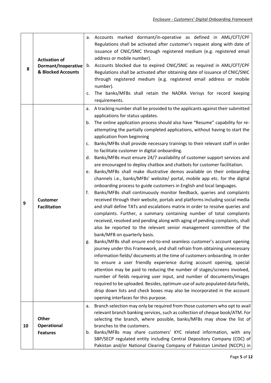| 8  | <b>Activation of</b><br>Dormant/Inoperative<br>& Blocked Accounts | а.<br>b.<br>c.                   | Accounts marked dormant/in-operative as defined in AML/CFT/CPF<br>Regulations shall be activated after customer's request along with date of<br>issuance of CNIC/SNIC through registered medium (e.g. registered email<br>address or mobile number).<br>Accounts blocked due to expired CNIC/SNIC as required in AML/CFT/CPF<br>Regulations shall be activated after obtaining date of issuance of CNIC/SNIC<br>through registered medium (e.g. registered email address or mobile<br>number).<br>The banks/MFBs shall retain the NADRA Verisys for record keeping<br>requirements.                                                                                                                                                                                                                                                                                                                                                                                                                                                                                                                                                                                                                                                                                                                                                                                                                                                                                                                                                                                                                                                                                                                                                                                                                                                                                                                                                                                                                                            |
|----|-------------------------------------------------------------------|----------------------------------|--------------------------------------------------------------------------------------------------------------------------------------------------------------------------------------------------------------------------------------------------------------------------------------------------------------------------------------------------------------------------------------------------------------------------------------------------------------------------------------------------------------------------------------------------------------------------------------------------------------------------------------------------------------------------------------------------------------------------------------------------------------------------------------------------------------------------------------------------------------------------------------------------------------------------------------------------------------------------------------------------------------------------------------------------------------------------------------------------------------------------------------------------------------------------------------------------------------------------------------------------------------------------------------------------------------------------------------------------------------------------------------------------------------------------------------------------------------------------------------------------------------------------------------------------------------------------------------------------------------------------------------------------------------------------------------------------------------------------------------------------------------------------------------------------------------------------------------------------------------------------------------------------------------------------------------------------------------------------------------------------------------------------------|
| 9  | <b>Customer</b><br><b>Facilitation</b>                            | а.<br>b.<br>c.<br>e.<br>f.<br>g. | A tracking number shall be provided to the applicants against their submitted<br>applications for status updates.<br>The online application process should also have "Resume" capability for re-<br>attempting the partially completed applications, without having to start the<br>application from beginning<br>Banks/MFBs shall provide necessary trainings to their relevant staff in order<br>to facilitate customer in digital onboarding.<br>d. Banks/MFBs must ensure 24/7 availability of customer support services and<br>are encouraged to deploy chatbox and chatbots for customer facilitation.<br>Banks/MFBs shall make illustrative demos available on their onboarding<br>channels i.e., banks/MFBs' website/ portal, mobile app etc. for the digital<br>onboarding process to guide customers in English and local languages.<br>Banks/MFBs shall continuously monitor feedback, queries and complaints<br>received through their website, portals and platforms including social media<br>and shall define TATs and escalations matrix in order to resolve queries and<br>complaints. Further, a summary containing number of total complaints<br>received, resolved and pending along with aging of pending complaints, shall<br>also be reported to the relevant senior management committee of the<br>bank/MFB on quarterly basis.<br>Banks/MFBs shall ensure end-to-end seamless customer's account opening<br>journey under this Framework, and shall refrain from obtaining unnecessary<br>information fields/ documents at the time of customers onboarding. In order<br>to ensure a user friendly experience during account opening, special<br>attention may be paid to reducing the number of stages/screens involved,<br>number of fields requiring user input, and number of documents/images<br>required to be uploaded. Besides, optimum use of auto populated data fields,<br>drop down lists and check boxes may also be incorporated in the account<br>opening interfaces for this purpose. |
| 10 | Other<br><b>Operational</b><br><b>Features</b>                    | а.<br>b.                         | Branch selection may only be required from those customers who opt to avail<br>relevant branch banking services, such as collection of cheque book/ATM. For<br>selecting the branch, where possible, banks/MFBs may show the list of<br>branches to the customers.<br>Banks/MFBs may share customers' KYC related information, with any<br>SBP/SECP regulated entity including Central Depository Company (CDC) of<br>Pakistan and/or National Clearing Company of Pakistan Limited (NCCPL) in                                                                                                                                                                                                                                                                                                                                                                                                                                                                                                                                                                                                                                                                                                                                                                                                                                                                                                                                                                                                                                                                                                                                                                                                                                                                                                                                                                                                                                                                                                                                 |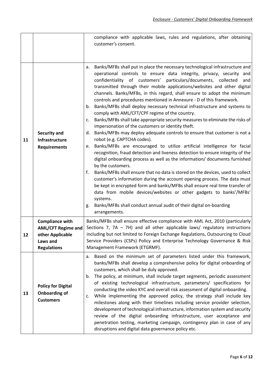|    |                                                                                                           | compliance with applicable laws, rules and regulations, after obtaining<br>customer's consent.                                                                                                                                                                                                                                                                                                                                                                                                                                                                                                                                                                                                                                                                                                                                                                                                                                                                                                                                                                                                                                                                                                                                                                                                                                                                                                                                                                                                                                                                            |  |  |  |
|----|-----------------------------------------------------------------------------------------------------------|---------------------------------------------------------------------------------------------------------------------------------------------------------------------------------------------------------------------------------------------------------------------------------------------------------------------------------------------------------------------------------------------------------------------------------------------------------------------------------------------------------------------------------------------------------------------------------------------------------------------------------------------------------------------------------------------------------------------------------------------------------------------------------------------------------------------------------------------------------------------------------------------------------------------------------------------------------------------------------------------------------------------------------------------------------------------------------------------------------------------------------------------------------------------------------------------------------------------------------------------------------------------------------------------------------------------------------------------------------------------------------------------------------------------------------------------------------------------------------------------------------------------------------------------------------------------------|--|--|--|
| 11 | Security and<br>Infrastructure<br><b>Requirements</b>                                                     | Banks/MFBs shall put in place the necessary technological infrastructure and<br>а.<br>operational controls to ensure data integrity, privacy, security and<br>confidentiality of customers' particulars/documents, collected<br>and<br>transmitted through their mobile applications/websites and other digital<br>channels. Banks/MFBs, in this regard, shall ensure to adopt the minimum<br>controls and procedures mentioned in Annexure - D of this framework.<br>b. Banks/MFBs shall deploy necessary technical infrastructure and systems to<br>comply with AML/CFT/CPF regime of the country.<br>Banks/MFBs shall take appropriate security measures to eliminate the risks of<br>c.<br>impersonation of the customers or identity theft.<br>Banks/MFBs may deploy adequate controls to ensure that customer is not a<br>d.<br>robot (e.g. CAPTCHA codes).<br>Banks/MFBs are encouraged to utilize artificial intelligence for facial<br>e.<br>recognition, fraud detection and liveness detection to ensure integrity of the<br>digital onboarding process as well as the information/ documents furnished<br>by the customers.<br>Banks/MFBs shall ensure that no data is stored on the devices, used to collect<br>f.<br>customer's information during the account opening process. The data must<br>be kept in encrypted form and banks/MFBs shall ensure real time transfer of<br>data from mobile devices/websites or other gadgets to banks'/MFBs'<br>systems.<br>Banks/MFBs shall conduct annual audit of their digital on-boarding<br>g.<br>arrangements. |  |  |  |
| 12 | <b>Compliance with</b><br><b>AML/CFT Regime and</b><br>other Applicable<br>Laws and<br><b>Regulations</b> | Banks/MFBs shall ensure effective compliance with AML Act, 2010 (particularly<br>Sections 7, $7A - 7H$ ) and all other applicable laws/ regulatory instructions<br>including but not limited to Foreign Exchange Regulations, Outsourcing to Cloud<br>Service Providers (CSPs) Policy and Enterprise Technology Governance & Risk<br>Management Framework (ETGRMF).                                                                                                                                                                                                                                                                                                                                                                                                                                                                                                                                                                                                                                                                                                                                                                                                                                                                                                                                                                                                                                                                                                                                                                                                       |  |  |  |
| 13 | <b>Policy for Digital</b><br>Onboarding of<br><b>Customers</b>                                            | Based on the minimum set of parameters listed under this framework,<br>a.<br>banks/MFBs shall develop a comprehensive policy for digital onboarding of<br>customers, which shall be duly approved.<br>The policy, at minimum, shall include target segments, periodic assessment<br>b.<br>of existing technological infrastructure, parameters/ specifications for<br>conducting the video KYC and overall risk assessment of digital onboarding.<br>While implementing the approved policy, the strategy shall include key<br>c.<br>milestones along with their timelines including service provider selection,<br>development of technological infrastructure, information system and security<br>review of the digital onboarding infrastructure, user acceptance and<br>penetration testing, marketing campaign, contingency plan in case of any<br>disruptions and digital data governance policy etc.                                                                                                                                                                                                                                                                                                                                                                                                                                                                                                                                                                                                                                                               |  |  |  |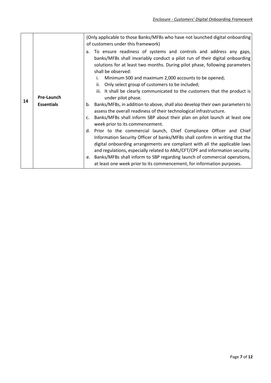|    |                                 | (Only applicable to those Banks/MFBs who have not launched digital onboarding<br>of customers under this framework)                                                                                                                                                                                                                                                                                                                                                                                                                                                                                                                                                                                                                                                                                                                                                                                                                                                                                                                                                                                                                                                                                                                                           |  |  |
|----|---------------------------------|---------------------------------------------------------------------------------------------------------------------------------------------------------------------------------------------------------------------------------------------------------------------------------------------------------------------------------------------------------------------------------------------------------------------------------------------------------------------------------------------------------------------------------------------------------------------------------------------------------------------------------------------------------------------------------------------------------------------------------------------------------------------------------------------------------------------------------------------------------------------------------------------------------------------------------------------------------------------------------------------------------------------------------------------------------------------------------------------------------------------------------------------------------------------------------------------------------------------------------------------------------------|--|--|
| 14 | Pre-Launch<br><b>Essentials</b> | To ensure readiness of systems and controls and address any gaps,<br>a.<br>banks/MFBs shall invariably conduct a pilot run of their digital onboarding<br>solutions for at least two months. During pilot phase, following parameters<br>shall be observed:<br>Minimum 500 and maximum 2,000 accounts to be opened;<br>i.<br>Only select group of customers to be included;<br>ii.<br>iii. It shall be clearly communicated to the customers that the product is<br>under pilot phase.<br>Banks/MFBs, in addition to above, shall also develop their own parameters to<br>b.<br>assess the overall readiness of their technological infrastructure.<br>Banks/MFBs shall inform SBP about their plan on pilot launch at least one<br>c.<br>week prior to its commencement.<br>d. Prior to the commercial launch, Chief Compliance Officer and Chief<br>Information Security Officer of banks/MFBs shall confirm in writing that the<br>digital onboarding arrangements are compliant with all the applicable laws<br>and regulations, especially related to AML/CFT/CPF and information security.<br>Banks/MFBs shall inform to SBP regarding launch of commercial operations,<br>e.<br>at least one week prior to its commencement, for information purposes. |  |  |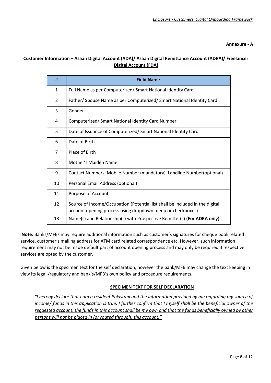**Annexure - A**

# **Customer Information – Asaan Digital Account (ADA)/ Asaan Digital Remittance Account (ADRA)/ Freelancer Digital Account (FDA)**

| #              | <b>Field Name</b>                                                                                                                          |
|----------------|--------------------------------------------------------------------------------------------------------------------------------------------|
| $\mathbf{1}$   | Full Name as per Computerized/ Smart National Identity Card                                                                                |
| $\overline{2}$ | Father/ Spouse Name as per Computerized/ Smart National Identity Card                                                                      |
| 3              | Gender                                                                                                                                     |
| 4              | Computerized/ Smart National Identity Card Number                                                                                          |
| 5              | Date of Issuance of Computerized/ Smart National Identity Card                                                                             |
| 6              | Date of Birth                                                                                                                              |
| 7              | Place of Birth                                                                                                                             |
| 8              | Mother's Maiden Name                                                                                                                       |
| 9              | Contact Numbers: Mobile Number (mandatory), Landline Number (optional)                                                                     |
| 10             | Personal Email Address (optional)                                                                                                          |
| 11             | Purpose of Account                                                                                                                         |
| 12             | Source of Income/Occupation (Potential list shall be included in the digital<br>account opening process using dropdown menu or checkboxes) |
| 13             | Name(s) and Relationship(s) with Prospective Remitter(s) (For ADRA only)                                                                   |

**Note:** Banks/MFBs may require additional information such as customer's signatures for cheque book related service, customer's mailing address for ATM card related correspondence etc. However, such information requirement may not be made default part of account opening process and may only be required if respective services are opted by the customer.

Given below is the specimen text for the self declaration, however the bank/MFB may change the text keeping in view its legal /regulatory and bank's/MFB's own policy and procedure requirements.

# **SPECIMEN TEXT FOR SELF DECLARATION**

*"I hereby declare that I am a resident Pakistani and the information provided by me regarding my source of income/ funds in this application is true. I further confirm that I myself shall be the beneficial owner of the requested account, the funds in this account shall be my own and that the funds beneficially owned by other persons will not be placed in (or routed through) this account."*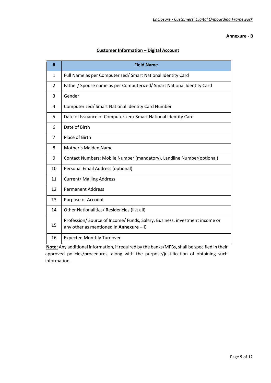#### **Annexure - B**

| #              | <b>Field Name</b>                                                                                                       |
|----------------|-------------------------------------------------------------------------------------------------------------------------|
| $\mathbf{1}$   | Full Name as per Computerized/ Smart National Identity Card                                                             |
| $\overline{2}$ | Father/ Spouse name as per Computerized/ Smart National Identity Card                                                   |
| 3              | Gender                                                                                                                  |
| 4              | Computerized/ Smart National Identity Card Number                                                                       |
| 5              | Date of Issuance of Computerized/ Smart National Identity Card                                                          |
| 6              | Date of Birth                                                                                                           |
| 7              | Place of Birth                                                                                                          |
| 8              | Mother's Maiden Name                                                                                                    |
| 9              | Contact Numbers: Mobile Number (mandatory), Landline Number (optional)                                                  |
| 10             | Personal Email Address (optional)                                                                                       |
| 11             | <b>Current/ Mailing Address</b>                                                                                         |
| 12             | <b>Permanent Address</b>                                                                                                |
| 13             | Purpose of Account                                                                                                      |
| 14             | Other Nationalities/ Residencies (list all)                                                                             |
| 15             | Profession/ Source of Income/ Funds, Salary, Business, investment income or<br>any other as mentioned in Annexure $-$ C |
| 16             | <b>Expected Monthly Turnover</b>                                                                                        |

### **Customer Information – Digital Account**

**Note:** Any additional information, if required by the banks/MFBs, shall be specified in their approved policies/procedures, along with the purpose/justification of obtaining such information.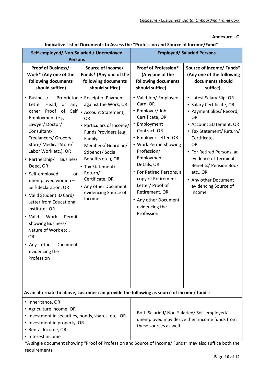#### **Annexure - C**

# **Indicative List of Documents to Assess the "Profession and Source of Income/Fund"**

| Self-employed/ Non-Salaried / Unemployed<br><b>Persons</b>                                                                                                                                                                                                                                                                                                                                                                                                                                                                                                                |                                                                                                                                                                                                                                                                                                                             | marcative List of Documents to Assess the Thoression and Source of income/Tund<br><b>Employed/ Salaried Persons</b>                                                                                                                                                                                                                                   |                                                                                                                                                                                                                                                                                                                                               |  |
|---------------------------------------------------------------------------------------------------------------------------------------------------------------------------------------------------------------------------------------------------------------------------------------------------------------------------------------------------------------------------------------------------------------------------------------------------------------------------------------------------------------------------------------------------------------------------|-----------------------------------------------------------------------------------------------------------------------------------------------------------------------------------------------------------------------------------------------------------------------------------------------------------------------------|-------------------------------------------------------------------------------------------------------------------------------------------------------------------------------------------------------------------------------------------------------------------------------------------------------------------------------------------------------|-----------------------------------------------------------------------------------------------------------------------------------------------------------------------------------------------------------------------------------------------------------------------------------------------------------------------------------------------|--|
| <b>Proof of Business/</b><br>Work* (Any one of the<br>following documents<br>should suffice)                                                                                                                                                                                                                                                                                                                                                                                                                                                                              | Source of Income/<br>Funds* (Any one of the<br>following documents<br>should suffice)                                                                                                                                                                                                                                       | <b>Proof of Profession*</b><br>(Any one of the<br>following documents<br>should suffice)                                                                                                                                                                                                                                                              | Source of Income/ Funds*<br>(Any one of the following<br>documents should<br>suffice)                                                                                                                                                                                                                                                         |  |
| • Business/<br>Proprietor<br>Letter Head; or any<br>of<br>Proof<br>other<br>Self<br>Employment (e.g.<br>Lawyer/Doctor/<br>Consultant/<br>Freelancers/ Grocery<br>Store/ Medical Store/<br>Labor Work etc.), OR<br>• Partnership/<br><b>Business</b><br>Deed, OR<br>· Self-employed<br>or<br>unemployed women -<br>Self-declaration, OR<br>• Valid Student ID Card/<br>Letter from Educational<br>Institute, OR<br>• Valid<br>Work<br>Permit<br>showing Business/<br>Nature of Work etc.,<br><b>OR</b><br>other<br>Document<br>$\cdot$ Any<br>evidencing the<br>Profession | • Receipt of Payment<br>against the Work, OR<br>• Account Statement,<br><b>OR</b><br>• Particulars of Income/<br>Funds Providers (e.g.<br>Family<br>Members/ Guardian/<br>Stipends/Social<br>Benefits etc.), OR<br>• Tax Statement/<br>Return/<br>Certificate, OR<br>• Any other Document<br>evidencing Source of<br>Income | • Valid Job/ Employee<br>Card, OR<br>• Employer/ Job<br>Certificate, OR<br>• Employment<br>Contract, OR<br>• Employer Letter, OR<br>• Work Permit showing<br>Profession/<br>Employment<br>Details, OR<br>• For Retired Persons, a<br>copy of Retirement<br>Letter/ Proof of<br>Retirement, OR<br>• Any other Document<br>evidencing the<br>Profession | • Latest Salary Slip, OR<br>· Salary Certificate, OR<br>• Payment Slips/ Record,<br><b>OR</b><br>• Account Statement, OR<br>• Tax Statement/ Return/<br>Certificate,<br><b>OR</b><br>• For Retired Persons, an<br>evidence of Terminal<br><b>Benefits/ Pension Book</b><br>etc., OR<br>• Any other Document<br>evidencing Source of<br>Income |  |
| As an alternate to above, customer can provide the following as source of income/ funds:                                                                                                                                                                                                                                                                                                                                                                                                                                                                                  |                                                                                                                                                                                                                                                                                                                             |                                                                                                                                                                                                                                                                                                                                                       |                                                                                                                                                                                                                                                                                                                                               |  |
| • Inheritance, OR<br>• Agriculture income, OR<br>• Investment in securities, bonds, shares, etc., OR<br>• Investment in property, OR<br>• Rental Income, OR<br>• Interest income                                                                                                                                                                                                                                                                                                                                                                                          |                                                                                                                                                                                                                                                                                                                             | Both Salaried/ Non-Salaried/ Self-employed/<br>unemployed may derive their income funds from<br>these sources as well.                                                                                                                                                                                                                                |                                                                                                                                                                                                                                                                                                                                               |  |

\*A single document showing "Proof of Profession and Source of Income/ Funds" may also suffice both the requirements.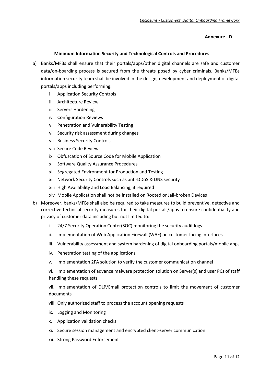#### **Annexure - D**

#### **Minimum Information Security and Technological Controls and Procedures**

- a) Banks/MFBs shall ensure that their portals/apps/other digital channels are safe and customer data/on-boarding process is secured from the threats posed by cyber criminals. Banks/MFBs information security team shall be involved in the design, development and deployment of digital portals/apps including performing:
	- i Application Security Controls
	- ii Architecture Review
	- iii Servers Hardening
	- iv Configuration Reviews
	- v Penetration and Vulnerability Testing
	- vi Security risk assessment during changes
	- vii Business Security Controls
	- viii Secure Code Review
	- ix Obfuscation of Source Code for Mobile Application
	- x Software Quality Assurance Procedures
	- xi Segregated Environment for Production and Testing
	- xii Network Security Controls such as anti-DDoS & DNS security
	- xiii High Availability and Load Balancing, if required
	- xiv Mobile Application shall not be installed on Rooted or Jail-broken Devices
- b) Moreover, banks/MFBs shall also be required to take measures to build preventive, detective and corrective technical security measures for their digital portals/apps to ensure confidentiality and privacy of customer data including but not limited to:
	- i. 24/7 Security Operation Center(SOC) monitoring the security audit logs
	- ii. Implementation of Web Application Firewall (WAF) on customer facing interfaces
	- iii. Vulnerability assessment and system hardening of digital onboarding portals/mobile apps
	- iv. Penetration testing of the applications
	- v. Implementation 2FA solution to verify the customer communication channel
	- vi. Implementation of advance malware protection solution on Server(s) and user PCs of staff handling these requests

vii. Implementation of DLP/Email protection controls to limit the movement of customer documents

viii. Only authorized staff to process the account opening requests

- ix. Logging and Monitoring
- x. Application validation checks
- xi. Secure session management and encrypted client-server communication
- xii. Strong Password Enforcement